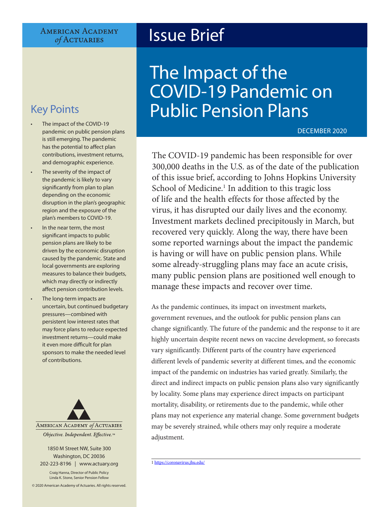#### **AMERICAN ACADEMY** of ACTUARIES

- The impact of the COVID-19 pandemic on public pension plans is still emerging. The pandemic has the potential to affect plan contributions, investment returns, and demographic experience.
- The severity of the impact of the pandemic is likely to vary significantly from plan to plan depending on the economic disruption in the plan's geographic region and the exposure of the plan's members to COVID-19.
- In the near term, the most significant impacts to public pension plans are likely to be driven by the economic disruption caused by the pandemic. State and local governments are exploring measures to balance their budgets, which may directly or indirectly affect pension contribution levels.
- The long-term impacts are uncertain, but continued budgetary pressures—combined with persistent low interest rates that may force plans to reduce expected investment returns—could make it even more difficult for plan sponsors to make the needed level of contributions.



#### 1850 M Street NW, Suite 300 Washington, DC 20036 202-223-8196 | [www.actuary.org](http://actuary.org)

Craig Hanna, Director of Public Policy Linda K. Stone, Senior Pension Fellow

© 2020 American Academy of Actuaries. All rights reserved.

# Issue Brief

# The Impact of the COVID-19 Pandemic on Key Points **Public Pension Plans**

DECEMBER 2020

The COVID-19 pandemic has been responsible for over 300,000 deaths in the U.S. as of the date of the publication of this issue brief, according to Johns Hopkins University School of Medicine.<sup>1</sup> In addition to this tragic loss of life and the health effects for those affected by the virus, it has disrupted our daily lives and the economy. Investment markets declined precipitously in March, but recovered very quickly. Along the way, there have been some reported warnings about the impact the pandemic is having or will have on public pension plans. While some already-struggling plans may face an acute crisis, many public pension plans are positioned well enough to manage these impacts and recover over time.

As the pandemic continues, its impact on investment markets, government revenues, and the outlook for public pension plans can change significantly. The future of the pandemic and the response to it are highly uncertain despite recent news on vaccine development, so forecasts vary significantly. Different parts of the country have experienced different levels of pandemic severity at different times, and the economic impact of the pandemic on industries has varied greatly. Similarly, the direct and indirect impacts on public pension plans also vary significantly by locality. Some plans may experience direct impacts on participant mortality, disability, or retirements due to the pandemic, while other plans may not experience any material change. Some government budgets may be severely strained, while others may only require a moderate adjustment.

1<https://coronavirus.jhu.edu/>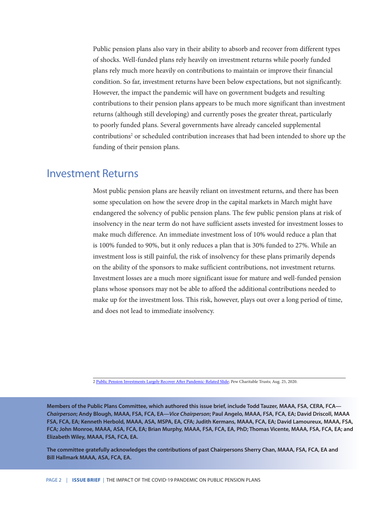Public pension plans also vary in their ability to absorb and recover from different types of shocks. Well-funded plans rely heavily on investment returns while poorly funded plans rely much more heavily on contributions to maintain or improve their financial condition. So far, investment returns have been below expectations, but not significantly. However, the impact the pandemic will have on government budgets and resulting contributions to their pension plans appears to be much more significant than investment returns (although still developing) and currently poses the greater threat, particularly to poorly funded plans. Several governments have already canceled supplemental contributions<sup>2</sup> or scheduled contribution increases that had been intended to shore up the funding of their pension plans.

#### Investment Returns

Most public pension plans are heavily reliant on investment returns, and there has been some speculation on how the severe drop in the capital markets in March might have endangered the solvency of public pension plans. The few public pension plans at risk of insolvency in the near term do not have sufficient assets invested for investment losses to make much difference. An immediate investment loss of 10% would reduce a plan that is 100% funded to 90%, but it only reduces a plan that is 30% funded to 27%. While an investment loss is still painful, the risk of insolvency for these plans primarily depends on the ability of the sponsors to make sufficient contributions, not investment returns. Investment losses are a much more significant issue for mature and well-funded pension plans whose sponsors may not be able to afford the additional contributions needed to make up for the investment loss. This risk, however, plays out over a long period of time, and does not lead to immediate insolvency.

2 [Public Pension Investments Largely Recover After Pandemic-Related Slide](https://www.pewtrusts.org/en/research-and-analysis/articles/2020/08/25/public-pension-investments-largely-recover-after-pandemic-related-slide); Pew Charitable Trusts; Aug. 25, 2020.

**Members of the Public Plans Committee, which authored this issue brief, include Todd Tauzer, MAAA, FSA, CERA, FCA—** *Chairperson***; Andy Blough, MAAA, FSA, FCA, EA—***Vice Chairperson***; Paul Angelo, MAAA, FSA, FCA, EA; David Driscoll, MAAA FSA, FCA, EA; Kenneth Herbold, MAAA, ASA, MSPA, EA, CFA; Judith Kermans, MAAA, FCA, EA; David Lamoureux, MAAA, FSA, FCA; John Monroe, MAAA, ASA, FCA, EA; Brian Murphy, MAAA, FSA, FCA, EA, PhD; Thomas Vicente, MAAA, FSA, FCA, EA; and Elizabeth Wiley, MAAA, FSA, FCA, EA.**

**The committee gratefully acknowledges the contributions of past Chairpersons Sherry Chan, MAAA, FSA, FCA, EA and Bill Hallmark MAAA, ASA, FCA, EA.**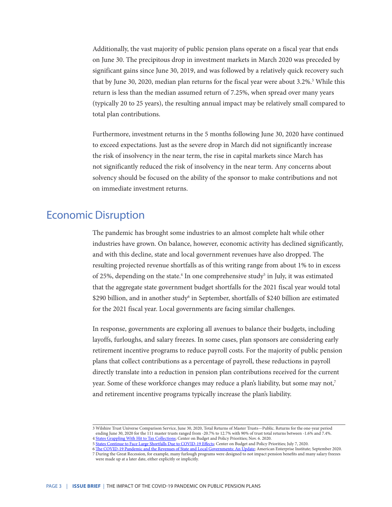Additionally, the vast majority of public pension plans operate on a fiscal year that ends on June 30. The precipitous drop in investment markets in March 2020 was preceded by significant gains since June 30, 2019, and was followed by a relatively quick recovery such that by June 30, 2020, median plan returns for the fiscal year were about 3.2%.<sup>3</sup> While this return is less than the median assumed return of 7.25%, when spread over many years (typically 20 to 25 years), the resulting annual impact may be relatively small compared to total plan contributions.

Furthermore, investment returns in the 5 months following June 30, 2020 have continued to exceed expectations. Just as the severe drop in March did not significantly increase the risk of insolvency in the near term, the rise in capital markets since March has not significantly reduced the risk of insolvency in the near term. Any concerns about solvency should be focused on the ability of the sponsor to make contributions and not on immediate investment returns.

#### Economic Disruption

The pandemic has brought some industries to an almost complete halt while other industries have grown. On balance, however, economic activity has declined significantly, and with this decline, state and local government revenues have also dropped. The resulting projected revenue shortfalls as of this writing range from about 1% to in excess of 25%, depending on the state.<sup>4</sup> In one comprehensive study<sup>5</sup> in July, it was estimated that the aggregate state government budget shortfalls for the 2021 fiscal year would total \$290 billion, and in another study<sup>6</sup> in September, shortfalls of \$240 billion are estimated for the 2021 fiscal year. Local governments are facing similar challenges.

In response, governments are exploring all avenues to balance their budgets, including layoffs, furloughs, and salary freezes. In some cases, plan sponsors are considering early retirement incentive programs to reduce payroll costs. For the majority of public pension plans that collect contributions as a percentage of payroll, these reductions in payroll directly translate into a reduction in pension plan contributions received for the current year. Some of these workforce changes may reduce a plan's liability, but some may not,<sup>7</sup> and retirement incentive programs typically increase the plan's liability.

<sup>3</sup> Wilshire Trust Universe Comparison Service, June 30, 2020, Total Returns of Master Trusts—Public. Returns for the one-year period ending June 30, 2020 for the 111 master trusts ranged from -20.7% to 12.7% with 90% of trust total returns between -1.6% and 7.4%.

<sup>4</sup> [States Grappling With Hit to Tax Collections](https://www.cbpp.org/research/state-budget-and-tax/states-grappling-with-hit-to-tax-collections); Center on Budget and Policy Priorities; Nov. 6. 2020.

<sup>5</sup> [States Continue to Face Large Shortfalls Due to COVID-19 Effects](https://www.cbpp.org/research/state-budget-and-tax/states-continue-to-face-large-shortfalls-due-to-covid-19-effects); Center on Budget and Policy Priorities; July 7, 2020.

<sup>6</sup> [The COVID-19 Pandemic and the Revenues of State and Local Governments: An Update;](https://www.aei.org/wp-content/uploads/2020/09/The-COVID-19-Pandemic-and-the-Revenues-of-State-and-Local-Governments.pdf) American Enterprise Institute; September 2020. 7 During the Great Recession, for example, many furlough programs were designed to not impact pension benefits and many salary freezes were made up at a later date, either explicitly or implicitly.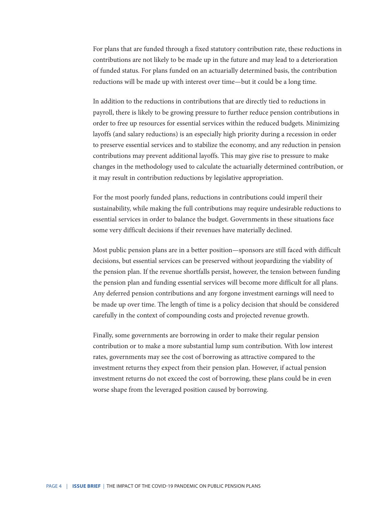For plans that are funded through a fixed statutory contribution rate, these reductions in contributions are not likely to be made up in the future and may lead to a deterioration of funded status. For plans funded on an actuarially determined basis, the contribution reductions will be made up with interest over time—but it could be a long time.

In addition to the reductions in contributions that are directly tied to reductions in payroll, there is likely to be growing pressure to further reduce pension contributions in order to free up resources for essential services within the reduced budgets. Minimizing layoffs (and salary reductions) is an especially high priority during a recession in order to preserve essential services and to stabilize the economy, and any reduction in pension contributions may prevent additional layoffs. This may give rise to pressure to make changes in the methodology used to calculate the actuarially determined contribution, or it may result in contribution reductions by legislative appropriation.

For the most poorly funded plans, reductions in contributions could imperil their sustainability, while making the full contributions may require undesirable reductions to essential services in order to balance the budget. Governments in these situations face some very difficult decisions if their revenues have materially declined.

Most public pension plans are in a better position—sponsors are still faced with difficult decisions, but essential services can be preserved without jeopardizing the viability of the pension plan. If the revenue shortfalls persist, however, the tension between funding the pension plan and funding essential services will become more difficult for all plans. Any deferred pension contributions and any forgone investment earnings will need to be made up over time. The length of time is a policy decision that should be considered carefully in the context of compounding costs and projected revenue growth.

Finally, some governments are borrowing in order to make their regular pension contribution or to make a more substantial lump sum contribution. With low interest rates, governments may see the cost of borrowing as attractive compared to the investment returns they expect from their pension plan. However, if actual pension investment returns do not exceed the cost of borrowing, these plans could be in even worse shape from the leveraged position caused by borrowing.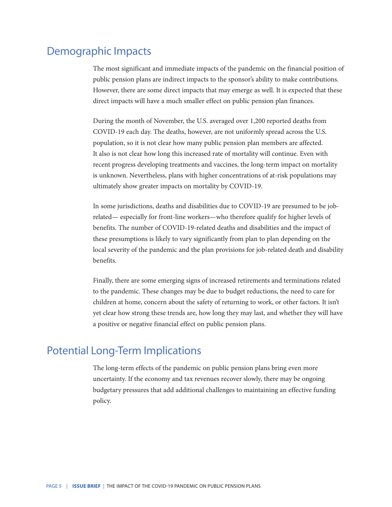## Demographic Impacts

The most significant and immediate impacts of the pandemic on the financial position of public pension plans are indirect impacts to the sponsor's ability to make contributions. However, there are some direct impacts that may emerge as well. It is expected that these direct impacts will have a much smaller effect on public pension plan finances.

During the month of November, the U.S. averaged over 1,200 reported deaths from COVID-19 each day. The deaths, however, are not uniformly spread across the U.S. population, so it is not clear how many public pension plan members are affected. It also is not clear how long this increased rate of mortality will continue. Even with recent progress developing treatments and vaccines, the long-term impact on mortality is unknown. Nevertheless, plans with higher concentrations of at-risk populations may ultimately show greater impacts on mortality by COVID-19.

In some jurisdictions, deaths and disabilities due to COVID-19 are presumed to be jobrelated— especially for front-line workers—who therefore qualify for higher levels of benefits. The number of COVID-19-related deaths and disabilities and the impact of these presumptions is likely to vary significantly from plan to plan depending on the local severity of the pandemic and the plan provisions for job-related death and disability benefits.

Finally, there are some emerging signs of increased retirements and terminations related to the pandemic. These changes may be due to budget reductions, the need to care for children at home, concern about the safety of returning to work, or other factors. It isn't yet clear how strong these trends are, how long they may last, and whether they will have a positive or negative financial effect on public pension plans.

### Potential Long-Term Implications

The long-term effects of the pandemic on public pension plans bring even more uncertainty. If the economy and tax revenues recover slowly, there may be ongoing budgetary pressures that add additional challenges to maintaining an effective funding policy.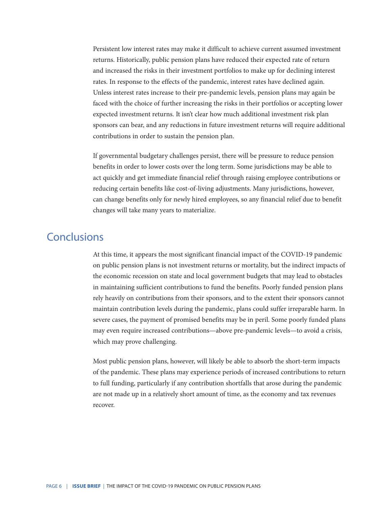Persistent low interest rates may make it difficult to achieve current assumed investment returns. Historically, public pension plans have reduced their expected rate of return and increased the risks in their investment portfolios to make up for declining interest rates. In response to the effects of the pandemic, interest rates have declined again. Unless interest rates increase to their pre-pandemic levels, pension plans may again be faced with the choice of further increasing the risks in their portfolios or accepting lower expected investment returns. It isn't clear how much additional investment risk plan sponsors can bear, and any reductions in future investment returns will require additional contributions in order to sustain the pension plan.

If governmental budgetary challenges persist, there will be pressure to reduce pension benefits in order to lower costs over the long term. Some jurisdictions may be able to act quickly and get immediate financial relief through raising employee contributions or reducing certain benefits like cost-of-living adjustments. Many jurisdictions, however, can change benefits only for newly hired employees, so any financial relief due to benefit changes will take many years to materialize.

### Conclusions

At this time, it appears the most significant financial impact of the COVID-19 pandemic on public pension plans is not investment returns or mortality, but the indirect impacts of the economic recession on state and local government budgets that may lead to obstacles in maintaining sufficient contributions to fund the benefits. Poorly funded pension plans rely heavily on contributions from their sponsors, and to the extent their sponsors cannot maintain contribution levels during the pandemic, plans could suffer irreparable harm. In severe cases, the payment of promised benefits may be in peril. Some poorly funded plans may even require increased contributions—above pre-pandemic levels—to avoid a crisis, which may prove challenging.

Most public pension plans, however, will likely be able to absorb the short-term impacts of the pandemic. These plans may experience periods of increased contributions to return to full funding, particularly if any contribution shortfalls that arose during the pandemic are not made up in a relatively short amount of time, as the economy and tax revenues recover.